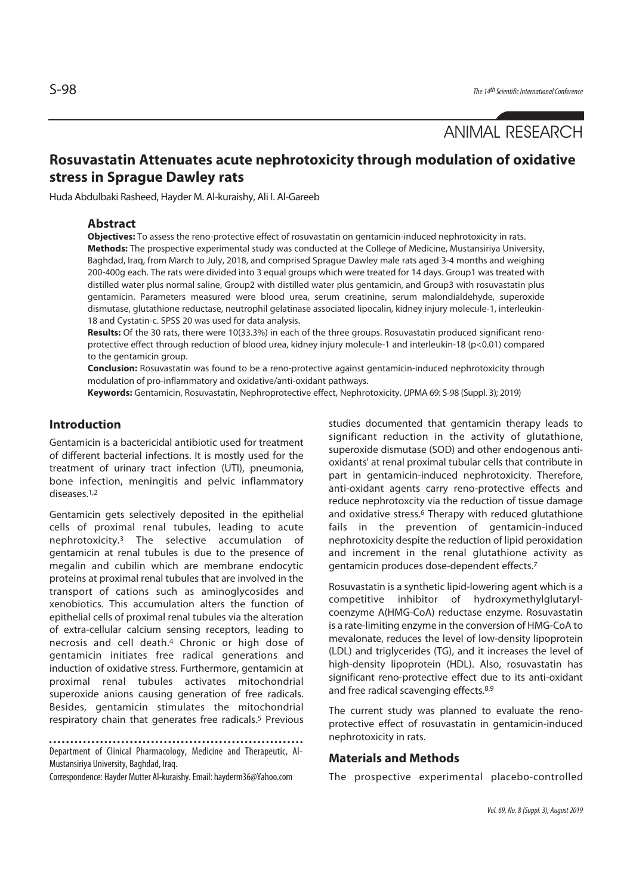ANIMAL RESEARCH

# **Rosuvastatin Attenuates acute nephrotoxicity through modulation of oxidative stress in Sprague Dawley rats**

Huda Abdulbaki Rasheed, Hayder M. Al-kuraishy, Ali I. Al-Gareeb

### **Abstract**

**Objectives:** To assess the reno-protective effect of rosuvastatin on gentamicin-induced nephrotoxicity in rats. **Methods:** The prospective experimental study was conducted at the College of Medicine, Mustansiriya University, Baghdad, Iraq, from March to July, 2018, and comprised Sprague Dawley male rats aged 3-4 months and weighing 200-400g each. The rats were divided into 3 equal groups which were treated for 14 days. Group1 was treated with distilled water plus normal saline, Group2 with distilled water plus gentamicin, and Group3 with rosuvastatin plus gentamicin. Parameters measured were blood urea, serum creatinine, serum malondialdehyde, superoxide dismutase, glutathione reductase, neutrophil gelatinase associated lipocalin, kidney injury molecule-1, interleukin-18 and Cystatin-c. SPSS 20 was used for data analysis.

**Results:** Of the 30 rats, there were 10(33.3%) in each of the three groups. Rosuvastatin produced significant renoprotective effect through reduction of blood urea, kidney injury molecule-1 and interleukin-18 (p<0.01) compared to the gentamicin group.

**Conclusion:** Rosuvastatin was found to be a reno-protective against gentamicin-induced nephrotoxicity through modulation of pro-inflammatory and oxidative/anti-oxidant pathways.

**Keywords:** Gentamicin, Rosuvastatin, Nephroprotective effect, Nephrotoxicity. (JPMA 69: S-98 (Suppl. 3); 2019)

# **Introduction**

Gentamicin is a bactericidal antibiotic used for treatment of different bacterial infections. It is mostly used for the treatment of urinary tract infection (UTI), pneumonia, bone infection, meningitis and pelvic inflammatory diseases.1,2

Gentamicin gets selectively deposited in the epithelial cells of proximal renal tubules, leading to acute nephrotoxicity.3 The selective accumulation of gentamicin at renal tubules is due to the presence of megalin and cubilin which are membrane endocytic proteins at proximal renal tubules that are involved in the transport of cations such as aminoglycosides and xenobiotics. This accumulation alters the function of epithelial cells of proximal renal tubules via the alteration of extra-cellular calcium sensing receptors, leading to necrosis and cell death.4 Chronic or high dose of gentamicin initiates free radical generations and induction of oxidative stress. Furthermore, gentamicin at proximal renal tubules activates mitochondrial superoxide anions causing generation of free radicals. Besides, gentamicin stimulates the mitochondrial respiratory chain that generates free radicals.5 Previous

Department of Clinical Pharmacology, Medicine and Therapeutic, Al-Mustansiriya University, Baghdad, Iraq.

Correspondence: Hayder Mutter Al-kuraishy. Email: hayderm36@Yahoo.com

studies documented that gentamicin therapy leads to significant reduction in the activity of glutathione, superoxide dismutase (SOD) and other endogenous antioxidants' at renal proximal tubular cells that contribute in part in gentamicin-induced nephrotoxicity. Therefore, anti-oxidant agents carry reno-protective effects and reduce nephrotoxcity via the reduction of tissue damage and oxidative stress.<sup>6</sup> Therapy with reduced glutathione fails in the prevention of gentamicin-induced nephrotoxicity despite the reduction of lipid peroxidation and increment in the renal glutathione activity as gentamicin produces dose-dependent effects.7

Rosuvastatin is a synthetic lipid-lowering agent which is a competitive inhibitor of hydroxymethylglutarylcoenzyme A(HMG-CoA) reductase enzyme. Rosuvastatin is a rate-limiting enzyme in the conversion of HMG-CoA to mevalonate, reduces the level of low-density lipoprotein (LDL) and triglycerides (TG), and it increases the level of high-density lipoprotein (HDL). Also, rosuvastatin has significant reno-protective effect due to its anti-oxidant and free radical scavenging effects.8,9

The current study was planned to evaluate the renoprotective effect of rosuvastatin in gentamicin-induced nephrotoxicity in rats.

#### **Materials and Methods**

The prospective experimental placebo-controlled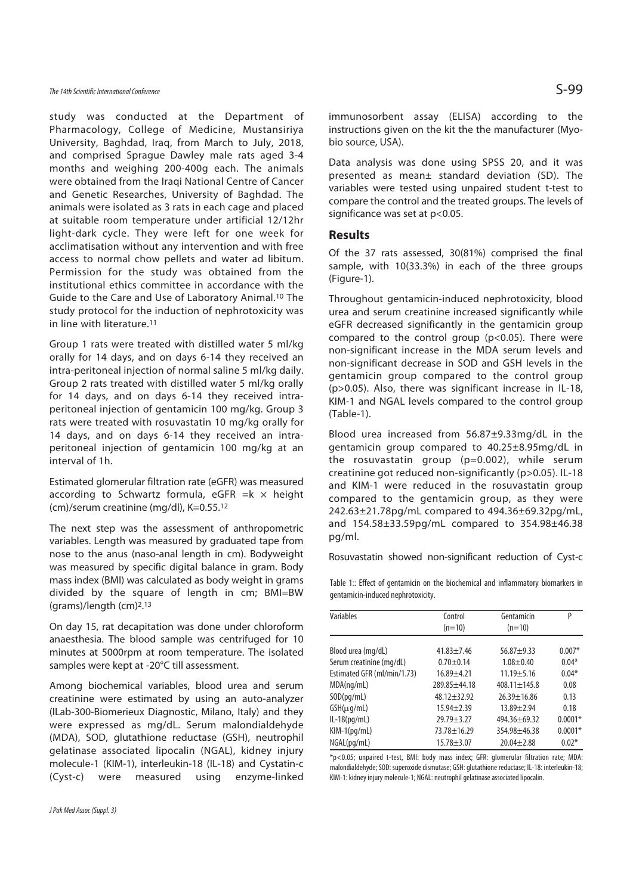# The 14th Scientific International Conference  $\mathsf{S}\text{-}\mathsf{99}$

study was conducted at the Department of Pharmacology, College of Medicine, Mustansiriya University, Baghdad, Iraq, from March to July, 2018, and comprised Sprague Dawley male rats aged 3-4 months and weighing 200-400g each. The animals were obtained from the Iraqi National Centre of Cancer and Genetic Researches, University of Baghdad. The animals were isolated as 3 rats in each cage and placed at suitable room temperature under artificial 12/12hr light-dark cycle. They were left for one week for acclimatisation without any intervention and with free access to normal chow pellets and water ad libitum. Permission for the study was obtained from the institutional ethics committee in accordance with the Guide to the Care and Use of Laboratory Animal.10 The study protocol for the induction of nephrotoxicity was in line with literature.<sup>11</sup>

Group 1 rats were treated with distilled water 5 ml/kg orally for 14 days, and on days 6-14 they received an intra-peritoneal injection of normal saline 5 ml/kg daily. Group 2 rats treated with distilled water 5 ml/kg orally for 14 days, and on days 6-14 they received intraperitoneal injection of gentamicin 100 mg/kg. Group 3 rats were treated with rosuvastatin 10 mg/kg orally for 14 days, and on days 6-14 they received an intraperitoneal injection of gentamicin 100 mg/kg at an interval of 1h.

Estimated glomerular filtration rate (eGFR) was measured according to Schwartz formula, eGFR  $=k \times$  height (cm)/serum creatinine (mg/dl), K=0.55.12

The next step was the assessment of anthropometric variables. Length was measured by graduated tape from nose to the anus (naso-anal length in cm). Bodyweight was measured by specific digital balance in gram. Body mass index (BMI) was calculated as body weight in grams divided by the square of length in cm; BMI=BW (grams)/length (cm)2. 13

On day 15, rat decapitation was done under chloroform anaesthesia. The blood sample was centrifuged for 10 minutes at 5000rpm at room temperature. The isolated samples were kept at -20°C till assessment.

Among biochemical variables, blood urea and serum creatinine were estimated by using an auto-analyzer (ILab-300-Biomerieux Diagnostic, Milano, Italy) and they were expressed as mg/dL. Serum malondialdehyde (MDA), SOD, glutathione reductase (GSH), neutrophil gelatinase associated lipocalin (NGAL), kidney injury molecule-1 (KIM-1), interleukin-18 (IL-18) and Cystatin-c (Cyst-c) were measured using enzyme-linked

immunosorbent assay (ELISA) according to the instructions given on the kit the the manufacturer (Myobio source, USA).

Data analysis was done using SPSS 20, and it was presented as mean± standard deviation (SD). The variables were tested using unpaired student t-test to compare the control and the treated groups. The levels of significance was set at p<0.05.

#### **Results**

Of the 37 rats assessed, 30(81%) comprised the final sample, with 10(33.3%) in each of the three groups (Figure-1).

Throughout gentamicin-induced nephrotoxicity, blood urea and serum creatinine increased significantly while eGFR decreased significantly in the gentamicin group compared to the control group (p<0.05). There were non-significant increase in the MDA serum levels and non-significant decrease in SOD and GSH levels in the gentamicin group compared to the control group (p>0.05). Also, there was significant increase in IL-18, KIM-1 and NGAL levels compared to the control group (Table-1).

Blood urea increased from 56.87±9.33mg/dL in the gentamicin group compared to 40.25±8.95mg/dL in the rosuvastatin group (p=0.002), while serum creatinine got reduced non-significantly (p>0.05). IL-18 and KIM-1 were reduced in the rosuvastatin group compared to the gentamicin group, as they were 242.63±21.78pg/mL compared to 494.36±69.32pg/mL, and 154.58±33.59pg/mL compared to 354.98±46.38 pg/ml.

Rosuvastatin showed non-significant reduction of Cyst-c

Table 1:: Effect of gentamicin on the biochemical and inflammatory biomarkers in gentamicin-induced nephrotoxicity.

| P         |
|-----------|
|           |
|           |
|           |
| $0.007*$  |
| $0.04*$   |
| $0.04*$   |
| 0.08      |
| 0.13      |
| 0.18      |
| $0.0001*$ |
| $0.0001*$ |
| $0.02*$   |
|           |

\*p<0.05; unpaired t-test, BMI: body mass index; GFR: glomerular filtration rate; MDA: malondialdehyde; SOD: superoxide dismutase; GSH: glutathione reductase; IL-18: interleukin-18; KIM-1: kidney injury molecule-1; NGAL: neutrophil gelatinase associated lipocalin.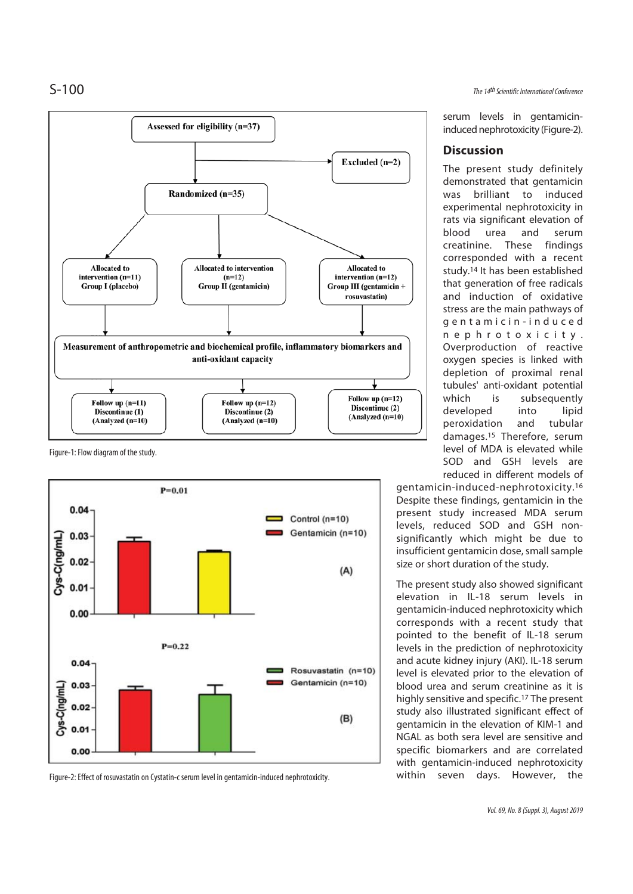

Figure-1: Flow diagram of the study.



Figure-2: Effect of rosuvastatin on Cystatin-c serum level in gentamicin-induced nephrotoxicity.

S-100 The 14th Scientific International Conference

serum levels in gentamicininduced nephrotoxicity (Figure-2).

# **Discussion**

The present study definitely demonstrated that gentamicin was brilliant to induced experimental nephrotoxicity in rats via significant elevation of blood urea and serum creatinine. These findings corresponded with a recent study.14 It has been established that generation of free radicals and induction of oxidative stress are the main pathways of g e n t a m i c i n - i n d u c e d n e p h r o t o x i c i t y . Overproduction of reactive oxygen species is linked with depletion of proximal renal tubules' anti-oxidant potential which is subsequently developed into lipid peroxidation and tubular damages.15 Therefore, serum level of MDA is elevated while SOD and GSH levels are reduced in different models of

gentamicin-induced-nephrotoxicity.16 Despite these findings, gentamicin in the present study increased MDA serum levels, reduced SOD and GSH nonsignificantly which might be due to insufficient gentamicin dose, small sample size or short duration of the study.

The present study also showed significant elevation in IL-18 serum levels in gentamicin-induced nephrotoxicity which corresponds with a recent study that pointed to the benefit of IL-18 serum levels in the prediction of nephrotoxicity and acute kidney injury (AKI). IL-18 serum level is elevated prior to the elevation of blood urea and serum creatinine as it is highly sensitive and specific.17 The present study also illustrated significant effect of gentamicin in the elevation of KIM-1 and NGAL as both sera level are sensitive and specific biomarkers and are correlated with gentamicin-induced nephrotoxicity within seven days. However, the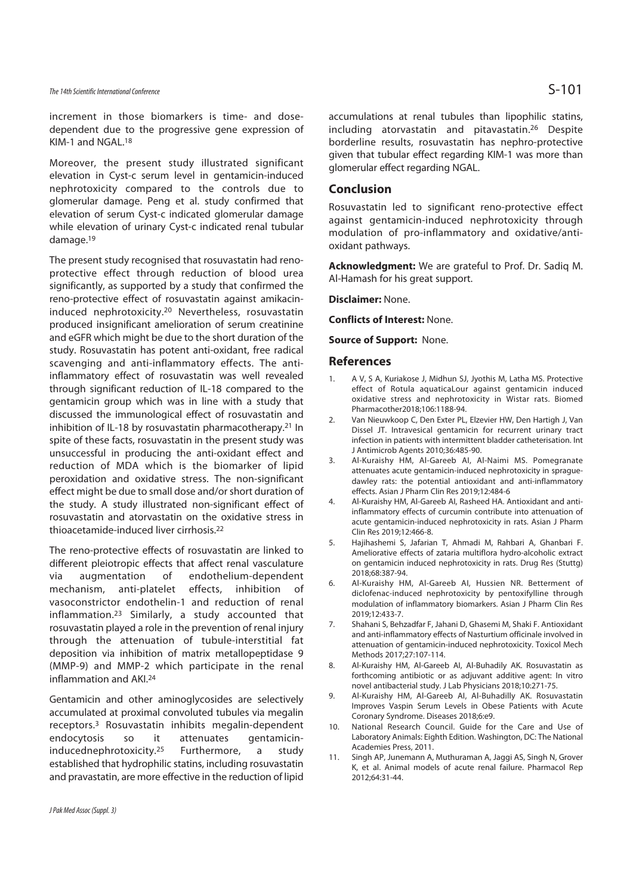# The 14th Scientific International Conference  $\mathsf{S}\text{-}101$

increment in those biomarkers is time- and dosedependent due to the progressive gene expression of KIM-1 and NGAL.18

Moreover, the present study illustrated significant elevation in Cyst-c serum level in gentamicin-induced nephrotoxicity compared to the controls due to glomerular damage. Peng et al. study confirmed that elevation of serum Cyst-c indicated glomerular damage while elevation of urinary Cyst-c indicated renal tubular damage.19

The present study recognised that rosuvastatin had renoprotective effect through reduction of blood urea significantly, as supported by a study that confirmed the reno-protective effect of rosuvastatin against amikacininduced nephrotoxicity.20 Nevertheless, rosuvastatin produced insignificant amelioration of serum creatinine and eGFR which might be due to the short duration of the study. Rosuvastatin has potent anti-oxidant, free radical scavenging and anti-inflammatory effects. The antiinflammatory effect of rosuvastatin was well revealed through significant reduction of IL-18 compared to the gentamicin group which was in line with a study that discussed the immunological effect of rosuvastatin and inhibition of IL-18 by rosuvastatin pharmacotherapy.21 In spite of these facts, rosuvastatin in the present study was unsuccessful in producing the anti-oxidant effect and reduction of MDA which is the biomarker of lipid peroxidation and oxidative stress. The non-significant effect might be due to small dose and/or short duration of the study. A study illustrated non-significant effect of rosuvastatin and atorvastatin on the oxidative stress in thioacetamide-induced liver cirrhosis.22

The reno-protective effects of rosuvastatin are linked to different pleiotropic effects that affect renal vasculature via augmentation of endothelium-dependent mechanism, anti-platelet effects, inhibition of vasoconstrictor endothelin-1 and reduction of renal inflammation.23 Similarly, a study accounted that rosuvastatin played a role in the prevention of renal injury through the attenuation of tubule-interstitial fat deposition via inhibition of matrix metallopeptidase 9 (MMP-9) and MMP-2 which participate in the renal inflammation and AKI.24

Gentamicin and other aminoglycosides are selectively accumulated at proximal convoluted tubules via megalin receptors.3 Rosuvastatin inhibits megalin-dependent endocytosis so it attenuates gentamicininducednephrotoxicity.25 Furthermore, a study established that hydrophilic statins, including rosuvastatin and pravastatin, are more effective in the reduction of lipid

accumulations at renal tubules than lipophilic statins, including atorvastatin and pitavastatin.26 Despite borderline results, rosuvastatin has nephro-protective given that tubular effect regarding KIM-1 was more than glomerular effect regarding NGAL.

#### **Conclusion**

Rosuvastatin led to significant reno-protective effect against gentamicin-induced nephrotoxicity through modulation of pro-inflammatory and oxidative/antioxidant pathways.

**Acknowledgment:** We are grateful to Prof. Dr. Sadiq M. Al-Hamash for his great support.

**Disclaimer:** None.

**Conflicts of Interest:** None.

**Source of Support:** None.

#### **References**

- 1. A V, S A, Kuriakose J, Midhun SJ, Jyothis M, Latha MS. Protective effect of Rotula aquaticaLour against gentamicin induced oxidative stress and nephrotoxicity in Wistar rats. Biomed Pharmacother2018;106:1188-94.
- 2. Van Nieuwkoop C, Den Exter PL, Elzevier HW, Den Hartigh J, Van Dissel JT. Intravesical gentamicin for recurrent urinary tract infection in patients with intermittent bladder catheterisation. Int J Antimicrob Agents 2010;36:485-90.
- 3. Al-Kuraishy HM, Al-Gareeb AI, Al-Naimi MS. Pomegranate attenuates acute gentamicin-induced nephrotoxicity in spraguedawley rats: the potential antioxidant and anti-inflammatory effects. Asian J Pharm Clin Res 2019;12:484-6
- 4. Al-Kuraishy HM, Al-Gareeb AI, Rasheed HA. Antioxidant and antiinflammatory effects of curcumin contribute into attenuation of acute gentamicin-induced nephrotoxicity in rats. Asian J Pharm Clin Res 2019;12:466-8.
- 5. Hajihashemi S, Jafarian T, Ahmadi M, Rahbari A, Ghanbari F. Ameliorative effects of zataria multiflora hydro-alcoholic extract on gentamicin induced nephrotoxicity in rats. Drug Res (Stuttg) 2018;68:387-94.
- 6. Al-Kuraishy HM, Al-Gareeb AI, Hussien NR. Betterment of diclofenac-induced nephrotoxicity by pentoxifylline through modulation of inflammatory biomarkers. Asian J Pharm Clin Res 2019;12:433-7.
- 7. Shahani S, Behzadfar F, Jahani D, Ghasemi M, Shaki F. Antioxidant and anti-inflammatory effects of Nasturtium officinale involved in attenuation of gentamicin-induced nephrotoxicity. Toxicol Mech Methods 2017;27:107-114.
- 8. Al-Kuraishy HM, Al-Gareeb AI, Al-Buhadily AK. Rosuvastatin as forthcoming antibiotic or as adjuvant additive agent: In vitro novel antibacterial study. J Lab Physicians 2018;10:271-75.
- 9. Al-Kuraishy HM, Al-Gareeb AI, Al-Buhadilly AK. Rosuvastatin Improves Vaspin Serum Levels in Obese Patients with Acute Coronary Syndrome. Diseases 2018;6:e9.
- 10. National Research Council. Guide for the Care and Use of Laboratory Animals: Eighth Edition. Washington, DC: The National Academies Press, 2011.
- 11. Singh AP, Junemann A, Muthuraman A, Jaggi AS, Singh N, Grover K, et al. Animal models of acute renal failure. Pharmacol Rep 2012;64:31-44.